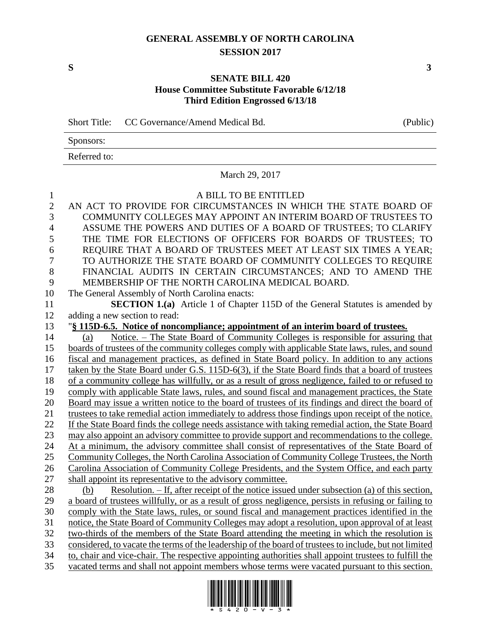## **GENERAL ASSEMBLY OF NORTH CAROLINA SESSION 2017**

## **SENATE BILL 420 House Committee Substitute Favorable 6/12/18 Third Edition Engrossed 6/13/18**

Short Title: CC Governance/Amend Medical Bd. (Public)

| Sponsors:    |  |
|--------------|--|
| Referred to: |  |

March 29, 2017

## A BILL TO BE ENTITLED

 AN ACT TO PROVIDE FOR CIRCUMSTANCES IN WHICH THE STATE BOARD OF COMMUNITY COLLEGES MAY APPOINT AN INTERIM BOARD OF TRUSTEES TO ASSUME THE POWERS AND DUTIES OF A BOARD OF TRUSTEES; TO CLARIFY THE TIME FOR ELECTIONS OF OFFICERS FOR BOARDS OF TRUSTEES; TO REQUIRE THAT A BOARD OF TRUSTEES MEET AT LEAST SIX TIMES A YEAR; TO AUTHORIZE THE STATE BOARD OF COMMUNITY COLLEGES TO REQUIRE FINANCIAL AUDITS IN CERTAIN CIRCUMSTANCES; AND TO AMEND THE MEMBERSHIP OF THE NORTH CAROLINA MEDICAL BOARD. The General Assembly of North Carolina enacts: **SECTION 1.(a)** Article 1 of Chapter 115D of the General Statutes is amended by adding a new section to read: "**§ 115D-6.5. Notice of noncompliance; appointment of an interim board of trustees.** (a) Notice. – The State Board of Community Colleges is responsible for assuring that boards of trustees of the community colleges comply with applicable State laws, rules, and sound fiscal and management practices, as defined in State Board policy. In addition to any actions taken by the State Board under G.S. 115D-6(3), if the State Board finds that a board of trustees of a community college has willfully, or as a result of gross negligence, failed to or refused to comply with applicable State laws, rules, and sound fiscal and management practices, the State Board may issue a written notice to the board of trustees of its findings and direct the board of trustees to take remedial action immediately to address those findings upon receipt of the notice. If the State Board finds the college needs assistance with taking remedial action, the State Board may also appoint an advisory committee to provide support and recommendations to the college. At a minimum, the advisory committee shall consist of representatives of the State Board of 25 Community Colleges, the North Carolina Association of Community College Trustees, the North Carolina Association of Community College Presidents, and the System Office, and each party shall appoint its representative to the advisory committee. (b) Resolution. – If, after receipt of the notice issued under subsection (a) of this section, a board of trustees willfully, or as a result of gross negligence, persists in refusing or failing to comply with the State laws, rules, or sound fiscal and management practices identified in the notice, the State Board of Community Colleges may adopt a resolution, upon approval of at least two-thirds of the members of the State Board attending the meeting in which the resolution is considered, to vacate the terms of the leadership of the board of trustees to include, but not limited to, chair and vice-chair. The respective appointing authorities shall appoint trustees to fulfill the vacated terms and shall not appoint members whose terms were vacated pursuant to this section.

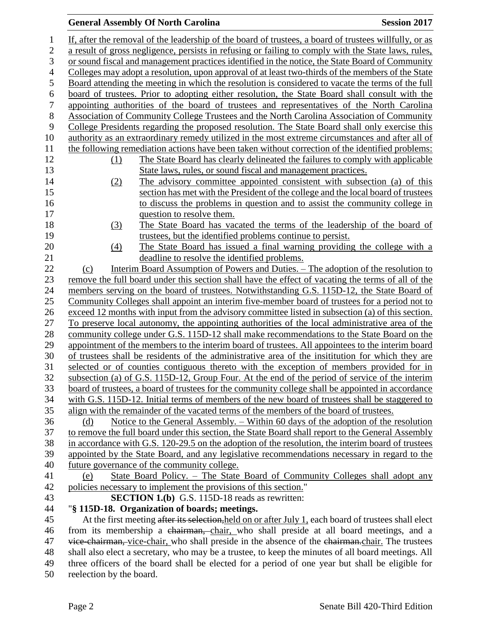## **General Assembly Of North Carolina Session 2017**

| 1              | If, after the removal of the leadership of the board of trustees, a board of trustees willfully, or as                            |  |  |
|----------------|-----------------------------------------------------------------------------------------------------------------------------------|--|--|
| $\overline{c}$ | a result of gross negligence, persists in refusing or failing to comply with the State laws, rules,                               |  |  |
| 3              | or sound fiscal and management practices identified in the notice, the State Board of Community                                   |  |  |
| $\overline{4}$ | Colleges may adopt a resolution, upon approval of at least two-thirds of the members of the State                                 |  |  |
| 5              | Board attending the meeting in which the resolution is considered to vacate the terms of the full                                 |  |  |
| 6              | board of trustees. Prior to adopting either resolution, the State Board shall consult with the                                    |  |  |
| $\tau$         | appointing authorities of the board of trustees and representatives of the North Carolina                                         |  |  |
| $8\,$          | Association of Community College Trustees and the North Carolina Association of Community                                         |  |  |
| 9              | College Presidents regarding the proposed resolution. The State Board shall only exercise this                                    |  |  |
| 10             | authority as an extraordinary remedy utilized in the most extreme circumstances and after all of                                  |  |  |
| 11             | the following remediation actions have been taken without correction of the identified problems:                                  |  |  |
| 12             | The State Board has clearly delineated the failures to comply with applicable<br>(1)                                              |  |  |
| 13             | State laws, rules, or sound fiscal and management practices.                                                                      |  |  |
| 14             | The advisory committee appointed consistent with subsection (a) of this<br>(2)                                                    |  |  |
| 15             | section has met with the President of the college and the local board of trustees                                                 |  |  |
| 16             | to discuss the problems in question and to assist the community college in                                                        |  |  |
| 17             | question to resolve them.                                                                                                         |  |  |
| 18             | (3)<br>The State Board has vacated the terms of the leadership of the board of                                                    |  |  |
| 19             | trustees, but the identified problems continue to persist.                                                                        |  |  |
| 20             | The State Board has issued a final warning providing the college with a<br>(4)                                                    |  |  |
| 21             | deadline to resolve the identified problems.                                                                                      |  |  |
| 22             | Interim Board Assumption of Powers and Duties. – The adoption of the resolution to<br>(c)                                         |  |  |
| 23             | remove the full board under this section shall have the effect of vacating the terms of all of the                                |  |  |
| 24             | members serving on the board of trustees. Notwithstanding G.S. 115D-12, the State Board of                                        |  |  |
| 25             | Community Colleges shall appoint an interim five-member board of trustees for a period not to                                     |  |  |
| 26             | exceed 12 months with input from the advisory committee listed in subsection (a) of this section.                                 |  |  |
| 27             | To preserve local autonomy, the appointing authorities of the local administrative area of the                                    |  |  |
| 28             | community college under G.S. 115D-12 shall make recommendations to the State Board on the                                         |  |  |
| 29             | appointment of the members to the interim board of trustees. All appointees to the interim board                                  |  |  |
| 30             | of trustees shall be residents of the administrative area of the insititution for which they are                                  |  |  |
| 31             | selected or of counties contiguous thereto with the exception of members provided for in                                          |  |  |
| 32             | subsection (a) of G.S. 115D-12, Group Four. At the end of the period of service of the interim                                    |  |  |
| 33             | board of trustees, a board of trustees for the community college shall be appointed in accordance                                 |  |  |
| 34             | with G.S. 115D-12. Initial terms of members of the new board of trustees shall be staggered to                                    |  |  |
| 35             | align with the remainder of the vacated terms of the members of the board of trustees.                                            |  |  |
| 36             | Notice to the General Assembly. – Within 60 days of the adoption of the resolution<br>(d)                                         |  |  |
| 37             | to remove the full board under this section, the State Board shall report to the General Assembly                                 |  |  |
| 38<br>39       | in accordance with G.S. 120-29.5 on the adoption of the resolution, the interim board of trustees                                 |  |  |
| 40             | appointed by the State Board, and any legislative recommendations necessary in regard to the                                      |  |  |
| 41             | future governance of the community college.<br>State Board Policy. – The State Board of Community Colleges shall adopt any<br>(e) |  |  |
| 42             | policies necessary to implement the provisions of this section."                                                                  |  |  |
| 43             | <b>SECTION 1.(b)</b> G.S. 115D-18 reads as rewritten:                                                                             |  |  |
| 44             | "§ 115D-18. Organization of boards; meetings.                                                                                     |  |  |
| 45             | At the first meeting after its selection, held on or after July 1, each board of trustees shall elect                             |  |  |
| 46             | from its membership a chairman, chair, who shall preside at all board meetings, and a                                             |  |  |
| 47             | vice chairman, vice-chair, who shall preside in the absence of the chairman.chair. The trustees                                   |  |  |
| 48             | shall also elect a secretary, who may be a trustee, to keep the minutes of all board meetings. All                                |  |  |
| 49             | three officers of the board shall be elected for a period of one year but shall be eligible for                                   |  |  |
| 50.            | reelection by the board                                                                                                           |  |  |

50 reelection by the board.